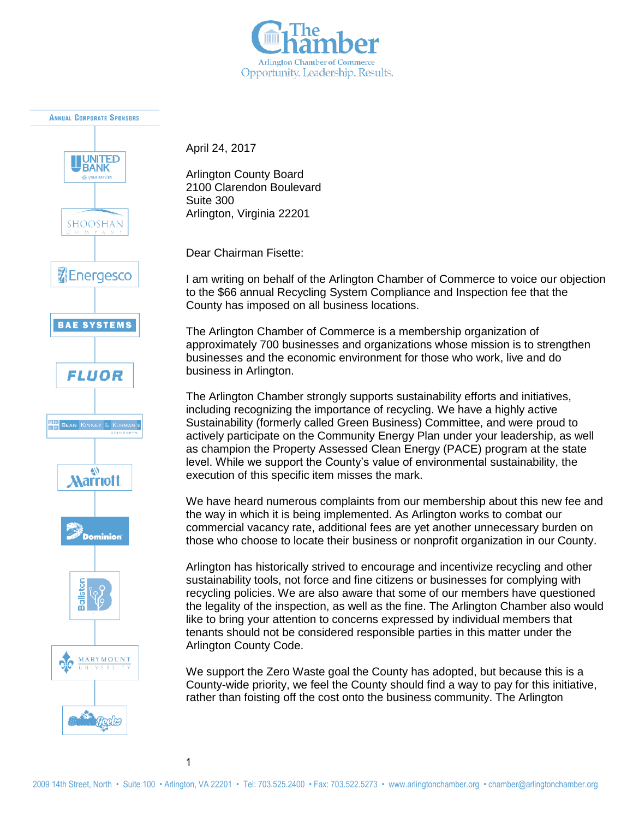



April 24, 2017

Arlington County Board 2100 Clarendon Boulevard Suite 300 Arlington, Virginia 22201

Dear Chairman Fisette:

I am writing on behalf of the Arlington Chamber of Commerce to voice our objection to the \$66 annual Recycling System Compliance and Inspection fee that the County has imposed on all business locations.

The Arlington Chamber of Commerce is a membership organization of approximately 700 businesses and organizations whose mission is to strengthen businesses and the economic environment for those who work, live and do business in Arlington.

The Arlington Chamber strongly supports sustainability efforts and initiatives, including recognizing the importance of recycling. We have a highly active Sustainability (formerly called Green Business) Committee, and were proud to actively participate on the Community Energy Plan under your leadership, as well as champion the Property Assessed Clean Energy (PACE) program at the state level. While we support the County's value of environmental sustainability, the execution of this specific item misses the mark.

We have heard numerous complaints from our membership about this new fee and the way in which it is being implemented. As Arlington works to combat our commercial vacancy rate, additional fees are yet another unnecessary burden on those who choose to locate their business or nonprofit organization in our County.

Arlington has historically strived to encourage and incentivize recycling and other sustainability tools, not force and fine citizens or businesses for complying with recycling policies. We are also aware that some of our members have questioned the legality of the inspection, as well as the fine. The Arlington Chamber also would like to bring your attention to concerns expressed by individual members that tenants should not be considered responsible parties in this matter under the Arlington County Code.

We support the Zero Waste goal the County has adopted, but because this is a County-wide priority, we feel the County should find a way to pay for this initiative, rather than foisting off the cost onto the business community. The Arlington